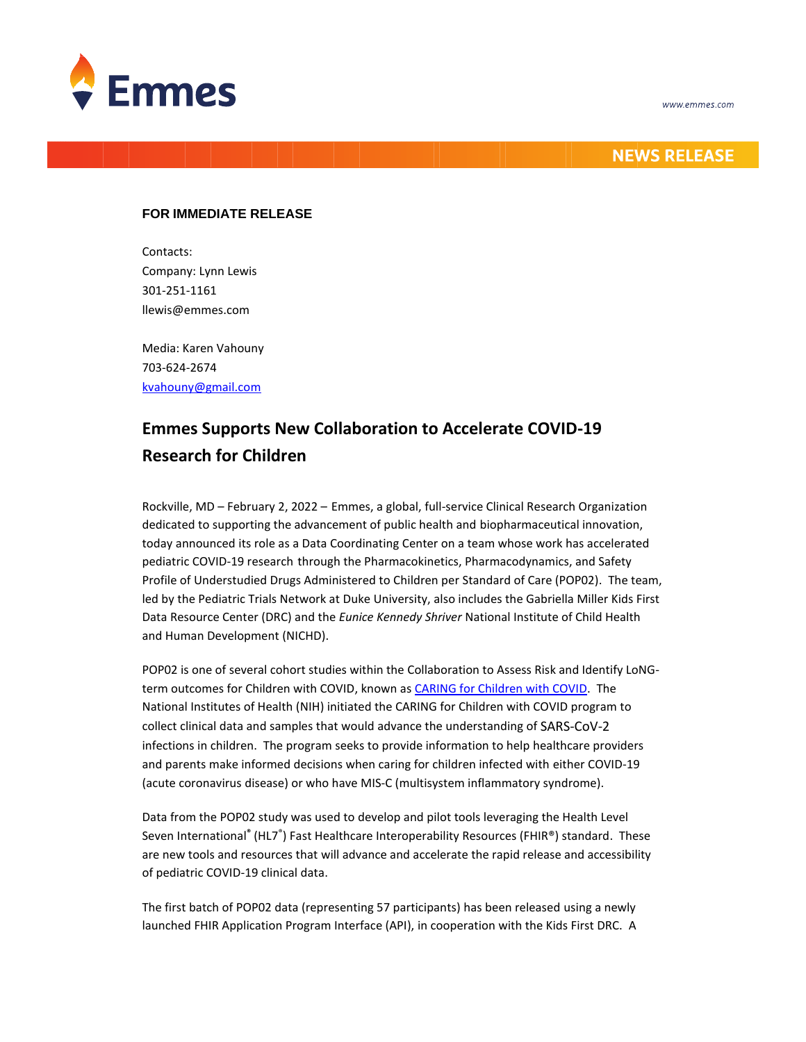

## **NEWS RELEASE**

### **FOR IMMEDIATE RELEASE**

Contacts: Company: Lynn Lewis 301-251-1161 llewis@emmes.com

Media: Karen Vahouny 703-624-2674 [kvahouny@gmail.com](mailto:kvahouny@gmail.com)

# **Emmes Supports New Collaboration to Accelerate COVID-19 Research for Children**

Rockville, MD – February 2, 2022 – Emmes, a global, full-service Clinical Research Organization dedicated to supporting the advancement of public health and biopharmaceutical innovation, today announced its role as a Data Coordinating Center on a team whose work has accelerated pediatric COVID-19 research through the Pharmacokinetics, Pharmacodynamics, and Safety Profile of Understudied Drugs Administered to Children per Standard of Care (POP02). The team, led by the Pediatric Trials Network at Duke University, also includes the Gabriella Miller Kids First Data Resource Center (DRC) and the *Eunice Kennedy Shriver* National Institute of Child Health and Human Development (NICHD).

POP02 is one of several cohort studies within the Collaboration to Assess Risk and Identify LoNG-term outcomes for Children with COVID, known as [CARING for Children with COVID.](https://caring4kidswithcovid.nih.gov/) The National Institutes of Health (NIH) initiated the CARING for Children with COVID program to collect clinical data and samples that would advance the understanding of SARS-CoV-2 infections in children. The program seeks to provide information to help healthcare providers and parents make informed decisions when caring for children infected with either COVID-19 (acute coronavirus disease) or who have MIS-C (multisystem inflammatory syndrome).

Data from the POP02 study was used to develop and pilot tools leveraging the Health Level Seven International<sup>®</sup> (HL7<sup>®</sup>) Fast Healthcare Interoperability Resources (FHIR®) standard. These are new tools and resources that will advance and accelerate the rapid release and accessibility of pediatric COVID-19 clinical data.

The first batch of POP02 data (representing 57 participants) has been released using a newly launched FHIR Application Program Interface (API), in cooperation with the Kids First DRC. A